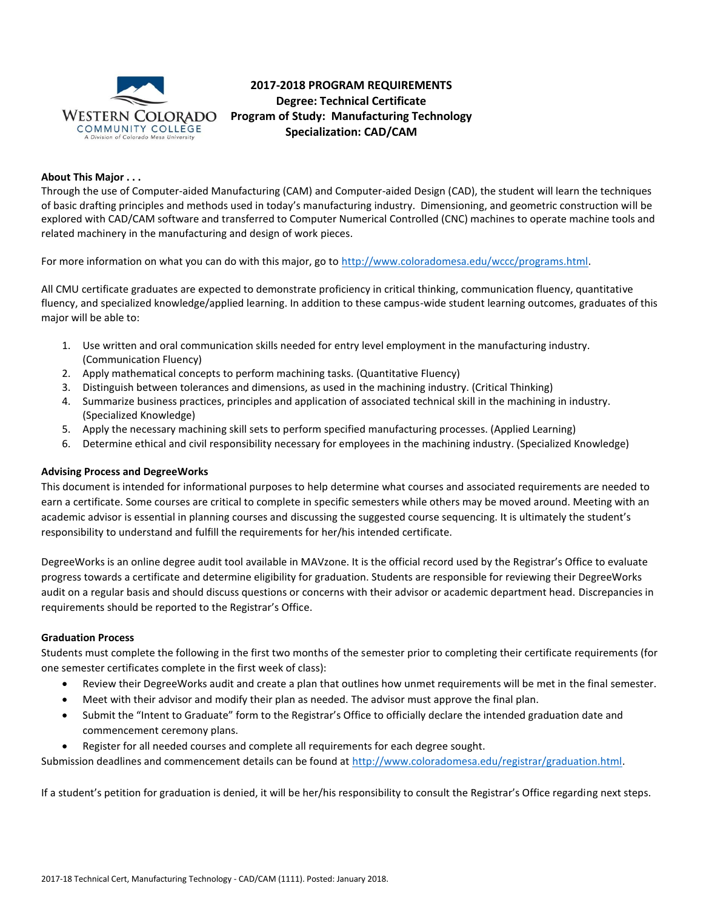

# **2017-2018 PROGRAM REQUIREMENTS Degree: Technical Certificate Program of Study: Manufacturing Technology Specialization: CAD/CAM**

# **About This Major . . .**

Through the use of Computer-aided Manufacturing (CAM) and Computer-aided Design (CAD), the student will learn the techniques of basic drafting principles and methods used in today's manufacturing industry. Dimensioning, and geometric construction will be explored with CAD/CAM software and transferred to Computer Numerical Controlled (CNC) machines to operate machine tools and related machinery in the manufacturing and design of work pieces.

For more information on what you can do with this major, go to [http://www.coloradomesa.edu/wccc/programs.html.](http://www.coloradomesa.edu/wccc/programs.html)

All CMU certificate graduates are expected to demonstrate proficiency in critical thinking, communication fluency, quantitative fluency, and specialized knowledge/applied learning. In addition to these campus-wide student learning outcomes, graduates of this major will be able to:

- 1. Use written and oral communication skills needed for entry level employment in the manufacturing industry. (Communication Fluency)
- 2. Apply mathematical concepts to perform machining tasks. (Quantitative Fluency)
- 3. Distinguish between tolerances and dimensions, as used in the machining industry. (Critical Thinking)
- 4. Summarize business practices, principles and application of associated technical skill in the machining in industry. (Specialized Knowledge)
- 5. Apply the necessary machining skill sets to perform specified manufacturing processes. (Applied Learning)
- 6. Determine ethical and civil responsibility necessary for employees in the machining industry. (Specialized Knowledge)

#### **Advising Process and DegreeWorks**

This document is intended for informational purposes to help determine what courses and associated requirements are needed to earn a certificate. Some courses are critical to complete in specific semesters while others may be moved around. Meeting with an academic advisor is essential in planning courses and discussing the suggested course sequencing. It is ultimately the student's responsibility to understand and fulfill the requirements for her/his intended certificate.

DegreeWorks is an online degree audit tool available in MAVzone. It is the official record used by the Registrar's Office to evaluate progress towards a certificate and determine eligibility for graduation. Students are responsible for reviewing their DegreeWorks audit on a regular basis and should discuss questions or concerns with their advisor or academic department head. Discrepancies in requirements should be reported to the Registrar's Office.

#### **Graduation Process**

Students must complete the following in the first two months of the semester prior to completing their certificate requirements (for one semester certificates complete in the first week of class):

- Review their DegreeWorks audit and create a plan that outlines how unmet requirements will be met in the final semester.
- Meet with their advisor and modify their plan as needed. The advisor must approve the final plan.
- Submit the "Intent to Graduate" form to the Registrar's Office to officially declare the intended graduation date and commencement ceremony plans.
- Register for all needed courses and complete all requirements for each degree sought.

Submission deadlines and commencement details can be found at [http://www.coloradomesa.edu/registrar/graduation.html.](http://www.coloradomesa.edu/registrar/graduation.html)

If a student's petition for graduation is denied, it will be her/his responsibility to consult the Registrar's Office regarding next steps.